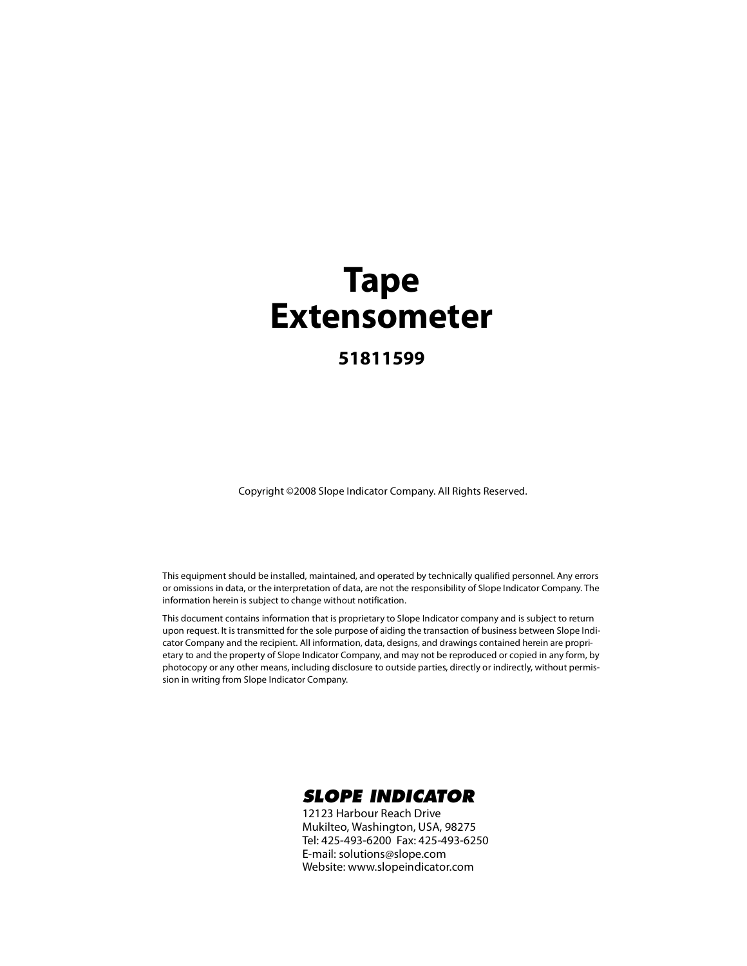### **Tape Extensometer**

#### **51811599**

Copyright ©2008 Slope Indicator Company. All Rights Reserved.

This equipment should be installed, maintained, and operated by technically qualified personnel. Any errors or omissions in data, or the interpretation of data, are not the responsibility of Slope Indicator Company. The information herein is subject to change without notification.

This document contains information that is proprietary to Slope Indicator company and is subject to return upon request. It is transmitted for the sole purpose of aiding the transaction of business between Slope Indicator Company and the recipient. All information, data, designs, and drawings contained herein are proprietary to and the property of Slope Indicator Company, and may not be reproduced or copied in any form, by photocopy or any other means, including disclosure to outside parties, directly or indirectly, without permission in writing from Slope Indicator Company.



12123 Harbour Reach Drive Mukilteo, Washington, USA, 98275 Tel: 425-493-6200 Fax: 425-493-6250 E-mail: solutions@slope.com Website: www.slopeindicator.com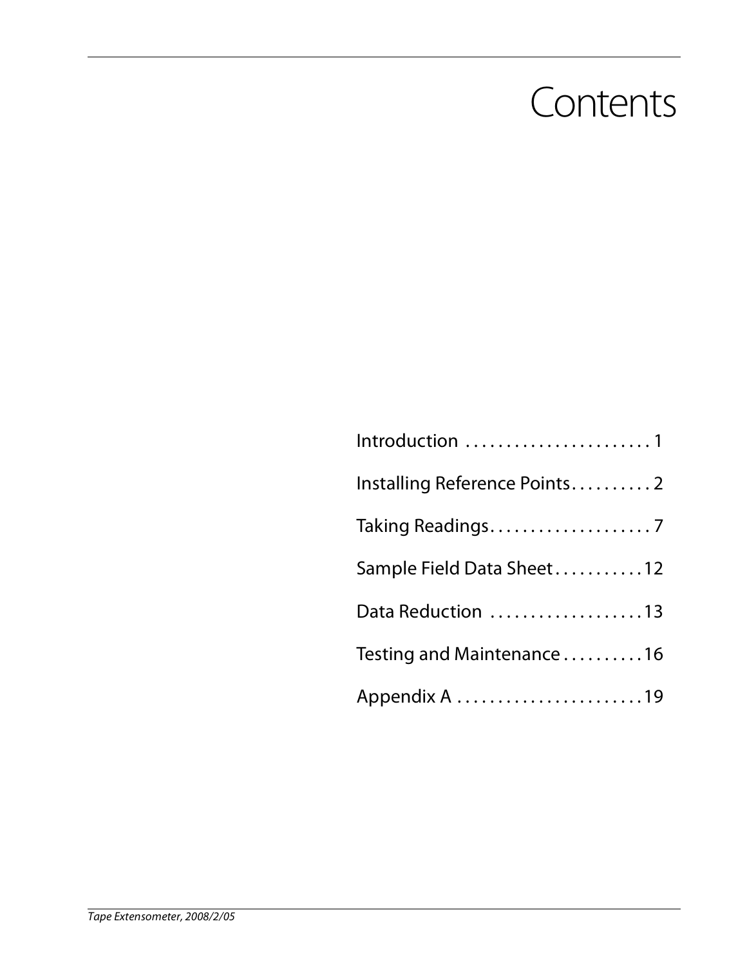### **Contents**

| Introduction 1               |
|------------------------------|
| Installing Reference Points2 |
| Taking Readings7             |
| Sample Field Data Sheet12    |
| Data Reduction 13            |
| Testing and Maintenance16    |
|                              |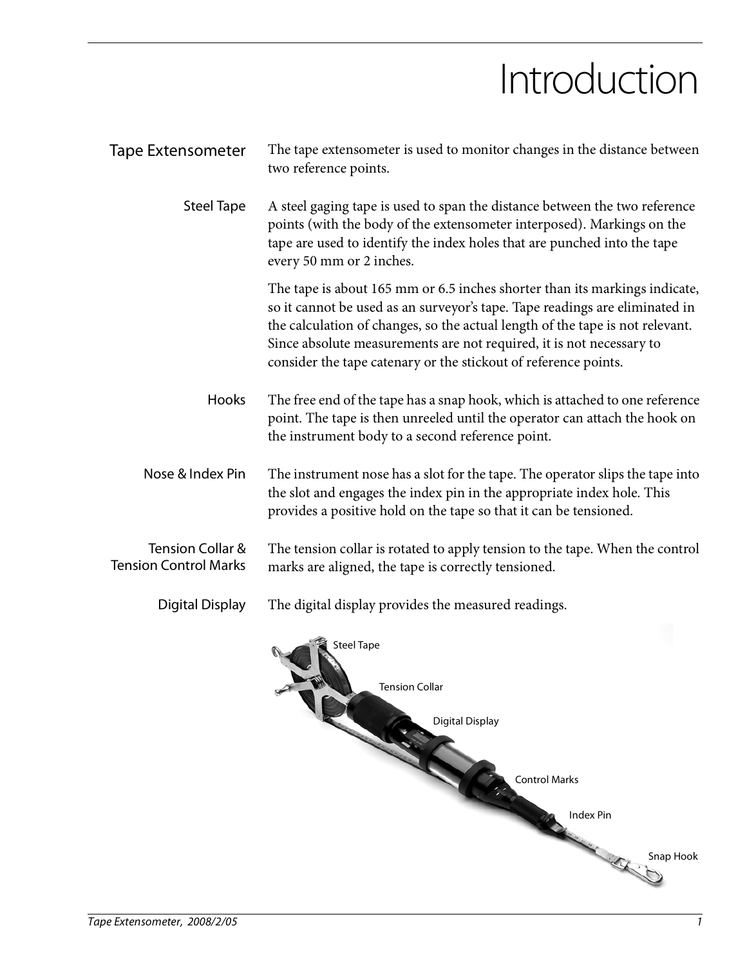## Introduction

| <b>Tape Extensometer</b>                         | The tape extensometer is used to monitor changes in the distance between<br>two reference points.                                                                                                                                                                                                                                                                                     |
|--------------------------------------------------|---------------------------------------------------------------------------------------------------------------------------------------------------------------------------------------------------------------------------------------------------------------------------------------------------------------------------------------------------------------------------------------|
| <b>Steel Tape</b>                                | A steel gaging tape is used to span the distance between the two reference<br>points (with the body of the extensometer interposed). Markings on the<br>tape are used to identify the index holes that are punched into the tape<br>every 50 mm or 2 inches.                                                                                                                          |
|                                                  | The tape is about 165 mm or 6.5 inches shorter than its markings indicate,<br>so it cannot be used as an surveyor's tape. Tape readings are eliminated in<br>the calculation of changes, so the actual length of the tape is not relevant.<br>Since absolute measurements are not required, it is not necessary to<br>consider the tape catenary or the stickout of reference points. |
| Hooks                                            | The free end of the tape has a snap hook, which is attached to one reference<br>point. The tape is then unreeled until the operator can attach the hook on<br>the instrument body to a second reference point.                                                                                                                                                                        |
| Nose & Index Pin                                 | The instrument nose has a slot for the tape. The operator slips the tape into<br>the slot and engages the index pin in the appropriate index hole. This<br>provides a positive hold on the tape so that it can be tensioned.                                                                                                                                                          |
| Tension Collar &<br><b>Tension Control Marks</b> | The tension collar is rotated to apply tension to the tape. When the control<br>marks are aligned, the tape is correctly tensioned.                                                                                                                                                                                                                                                   |
| Digital Display                                  | The digital display provides the measured readings.                                                                                                                                                                                                                                                                                                                                   |
|                                                  | <b>Steel Tape</b><br><b>Tension Collar</b><br><b>Digital Display</b><br><b>Control Marks</b>                                                                                                                                                                                                                                                                                          |
|                                                  | <b>Index Pin</b><br>Snap Hook                                                                                                                                                                                                                                                                                                                                                         |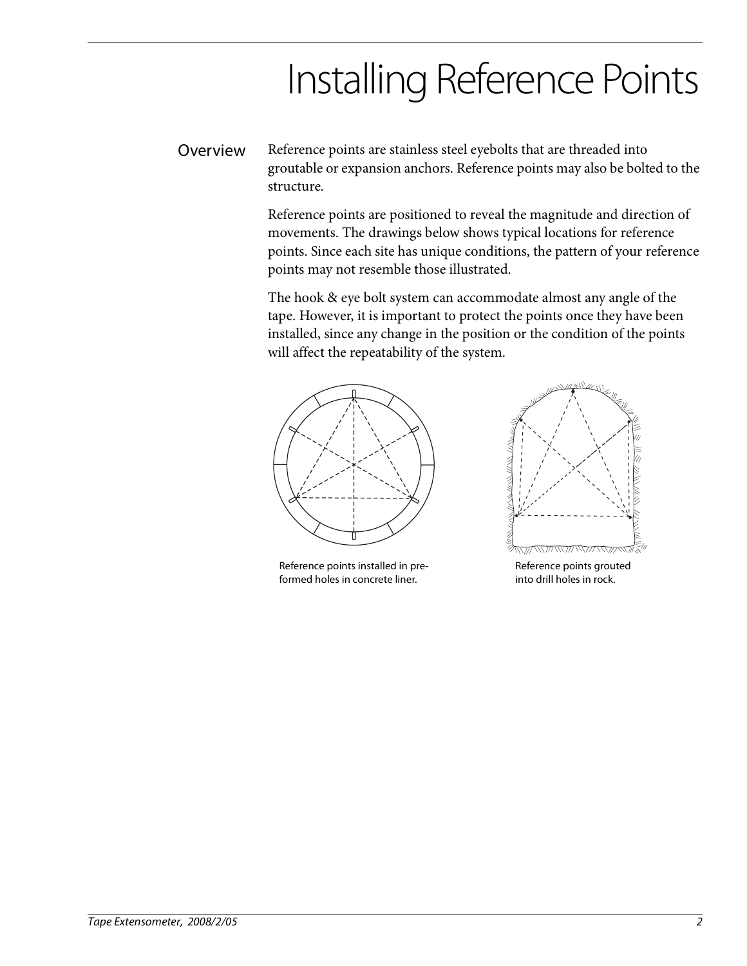## Installing Reference Points

Overview Reference points are stainless steel eyebolts that are threaded into groutable or expansion anchors. Reference points may also be bolted to the structure.

> Reference points are positioned to reveal the magnitude and direction of movements. The drawings below shows typical locations for reference points. Since each site has unique conditions, the pattern of your reference points may not resemble those illustrated.

The hook & eye bolt system can accommodate almost any angle of the tape. However, it is important to protect the points once they have been installed, since any change in the position or the condition of the points will affect the repeatability of the system.



Reference points installed in preformed holes in concrete liner.



Reference points grouted into drill holes in rock.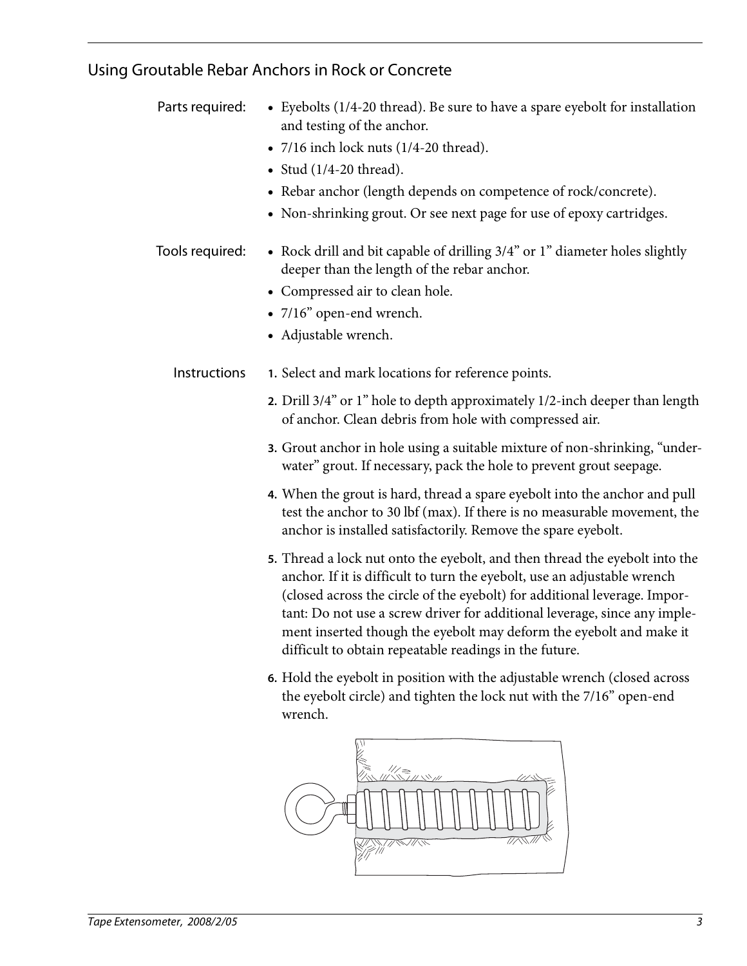### Using Groutable Rebar Anchors in Rock or Concrete

| Parts required: | • Eyebolts (1/4-20 thread). Be sure to have a spare eyebolt for installation<br>and testing of the anchor.<br>$\bullet$ 7/16 inch lock nuts (1/4-20 thread).<br>$\bullet$ Stud (1/4-20 thread).<br>• Rebar anchor (length depends on competence of rock/concrete).<br>• Non-shrinking grout. Or see next page for use of epoxy cartridges.                                                                                                                                                                                                                                                                                                                 |
|-----------------|------------------------------------------------------------------------------------------------------------------------------------------------------------------------------------------------------------------------------------------------------------------------------------------------------------------------------------------------------------------------------------------------------------------------------------------------------------------------------------------------------------------------------------------------------------------------------------------------------------------------------------------------------------|
| Tools required: | • Rock drill and bit capable of drilling 3/4" or 1" diameter holes slightly<br>deeper than the length of the rebar anchor.<br>• Compressed air to clean hole.<br>· 7/16" open-end wrench.<br>• Adjustable wrench.                                                                                                                                                                                                                                                                                                                                                                                                                                          |
| Instructions    | 1. Select and mark locations for reference points.<br>2. Drill 3/4" or 1" hole to depth approximately 1/2-inch deeper than length<br>of anchor. Clean debris from hole with compressed air.<br>3. Grout anchor in hole using a suitable mixture of non-shrinking, "under-<br>water" grout. If necessary, pack the hole to prevent grout seepage.<br>4. When the grout is hard, thread a spare eyebolt into the anchor and pull<br>test the anchor to 30 lbf (max). If there is no measurable movement, the<br>anchor is installed satisfactorily. Remove the spare eyebolt.<br>5. Thread a lock nut onto the eyebolt, and then thread the eyebolt into the |
|                 | anchor. If it is difficult to turn the eyebolt, use an adjustable wrench<br>(closed across the circle of the eyebolt) for additional leverage. Impor-<br>tant: Do not use a screw driver for additional leverage, since any imple-<br>ment inserted though the eyebolt may deform the eyebolt and make it<br>difficult to obtain repeatable readings in the future.                                                                                                                                                                                                                                                                                        |
|                 | 6. Hold the eyebolt in position with the adjustable wrench (closed across<br>the eyebolt circle) and tighten the lock nut with the 7/16" open-end<br>wrench.                                                                                                                                                                                                                                                                                                                                                                                                                                                                                               |

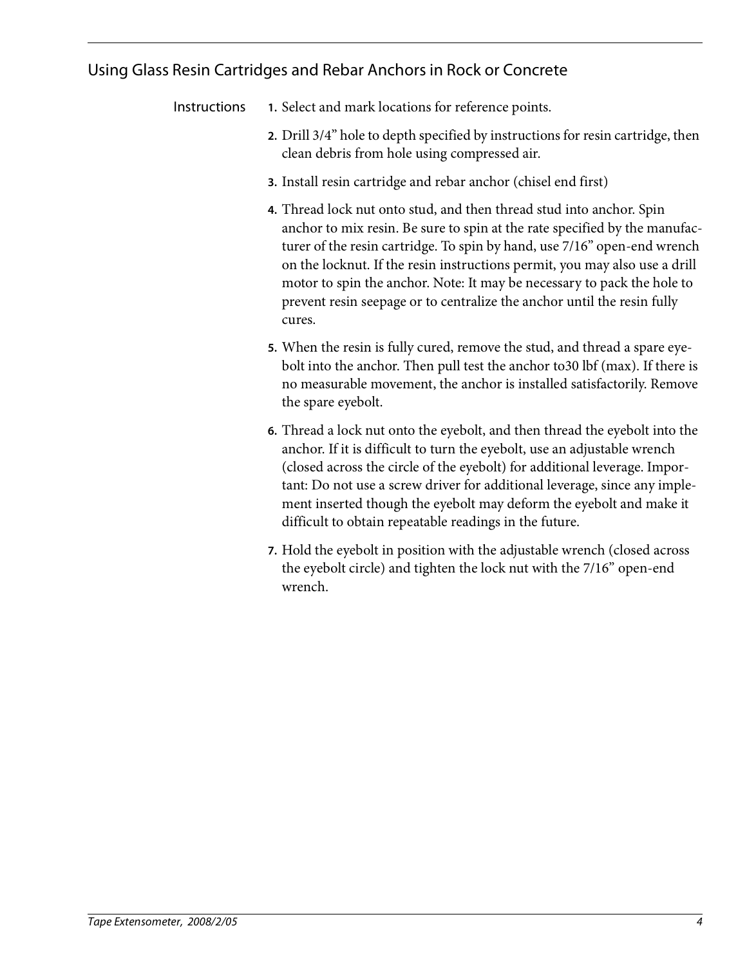#### Using Glass Resin Cartridges and Rebar Anchors in Rock or Concrete

Instructions **1.** Select and mark locations for reference points.

- **2.** Drill 3/4" hole to depth specified by instructions for resin cartridge, then clean debris from hole using compressed air.
- **3.** Install resin cartridge and rebar anchor (chisel end first)
- **4.** Thread lock nut onto stud, and then thread stud into anchor. Spin anchor to mix resin. Be sure to spin at the rate specified by the manufacturer of the resin cartridge. To spin by hand, use 7/16" open-end wrench on the locknut. If the resin instructions permit, you may also use a drill motor to spin the anchor. Note: It may be necessary to pack the hole to prevent resin seepage or to centralize the anchor until the resin fully cures.
- **5.** When the resin is fully cured, remove the stud, and thread a spare eyebolt into the anchor. Then pull test the anchor to30 lbf (max). If there is no measurable movement, the anchor is installed satisfactorily. Remove the spare eyebolt.
- **6.** Thread a lock nut onto the eyebolt, and then thread the eyebolt into the anchor. If it is difficult to turn the eyebolt, use an adjustable wrench (closed across the circle of the eyebolt) for additional leverage. Important: Do not use a screw driver for additional leverage, since any implement inserted though the eyebolt may deform the eyebolt and make it difficult to obtain repeatable readings in the future.
- **7.** Hold the eyebolt in position with the adjustable wrench (closed across the eyebolt circle) and tighten the lock nut with the 7/16" open-end wrench.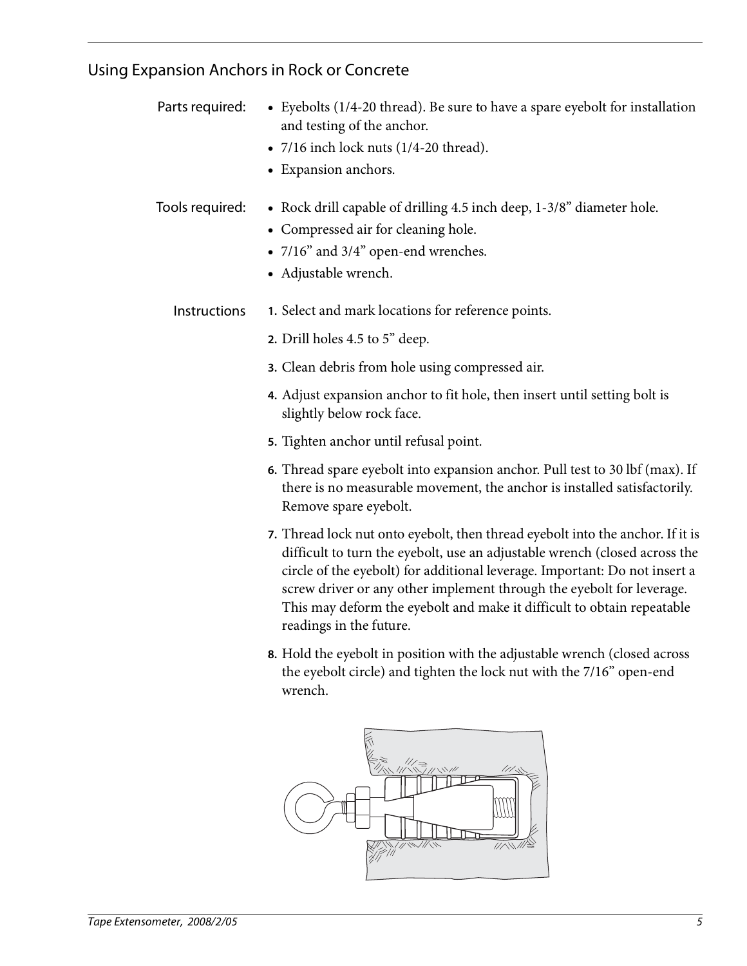### Using Expansion Anchors in Rock or Concrete

| Parts required: | • Eyebolts (1/4-20 thread). Be sure to have a spare eyebolt for installation<br>and testing of the anchor.                                                                                                                                                                                                                                                                                                               |
|-----------------|--------------------------------------------------------------------------------------------------------------------------------------------------------------------------------------------------------------------------------------------------------------------------------------------------------------------------------------------------------------------------------------------------------------------------|
|                 | • $7/16$ inch lock nuts ( $1/4$ -20 thread).                                                                                                                                                                                                                                                                                                                                                                             |
|                 | • Expansion anchors.                                                                                                                                                                                                                                                                                                                                                                                                     |
| Tools required: | • Rock drill capable of drilling 4.5 inch deep, 1-3/8" diameter hole.<br>• Compressed air for cleaning hole.                                                                                                                                                                                                                                                                                                             |
|                 | • 7/16" and 3/4" open-end wrenches.<br>• Adjustable wrench.                                                                                                                                                                                                                                                                                                                                                              |
| Instructions    | 1. Select and mark locations for reference points.                                                                                                                                                                                                                                                                                                                                                                       |
|                 | 2. Drill holes 4.5 to 5" deep.                                                                                                                                                                                                                                                                                                                                                                                           |
|                 | 3. Clean debris from hole using compressed air.                                                                                                                                                                                                                                                                                                                                                                          |
|                 | 4. Adjust expansion anchor to fit hole, then insert until setting bolt is<br>slightly below rock face.                                                                                                                                                                                                                                                                                                                   |
|                 | 5. Tighten anchor until refusal point.                                                                                                                                                                                                                                                                                                                                                                                   |
|                 | 6. Thread spare eyebolt into expansion anchor. Pull test to 30 lbf (max). If<br>there is no measurable movement, the anchor is installed satisfactorily.<br>Remove spare eyebolt.                                                                                                                                                                                                                                        |
|                 | 7. Thread lock nut onto eyebolt, then thread eyebolt into the anchor. If it is<br>difficult to turn the eyebolt, use an adjustable wrench (closed across the<br>circle of the eyebolt) for additional leverage. Important: Do not insert a<br>screw driver or any other implement through the eyebolt for leverage.<br>This may deform the eyebolt and make it difficult to obtain repeatable<br>readings in the future. |
|                 | <b>8.</b> Hold the eyebolt in position with the adjustable wrench (closed across<br>the eyebolt circle) and tighten the lock nut with the 7/16" open-end<br>wrench.                                                                                                                                                                                                                                                      |
|                 |                                                                                                                                                                                                                                                                                                                                                                                                                          |

∭

 $\overline{U\wedge W}$ 

 $77.77.7$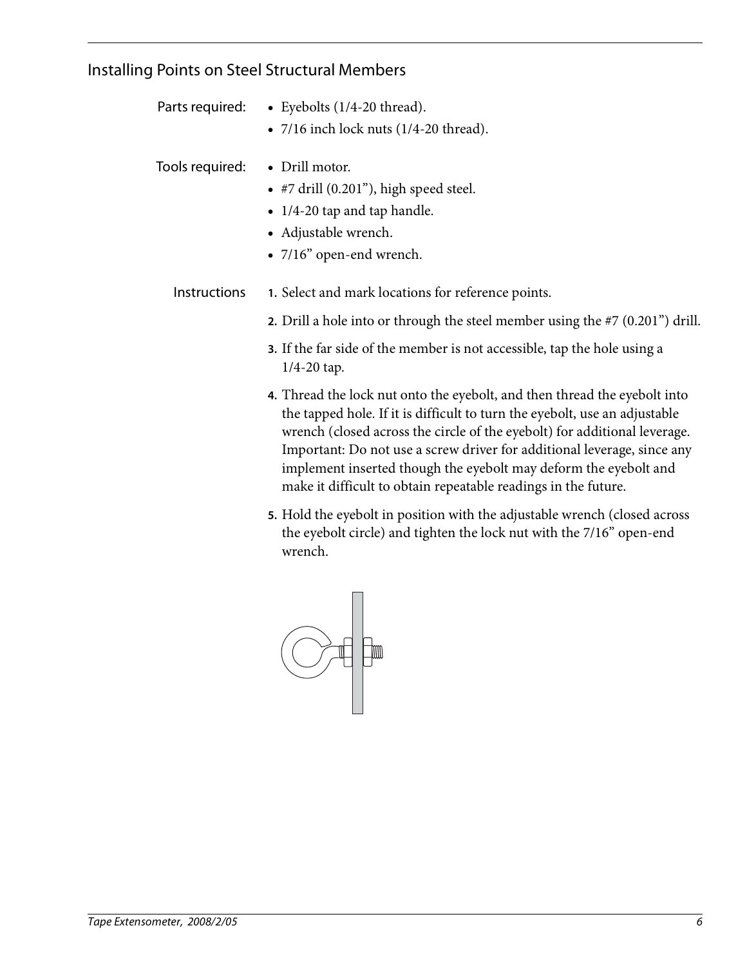#### Installing Points on Steel Structural Members

| Parts required: |  | • Eyebolts $(1/4-20$ thread). |
|-----------------|--|-------------------------------|
|-----------------|--|-------------------------------|

•  $7/16$  inch lock nuts (1/4-20 thread).

Tools required: • Drill motor.

- #7 drill (0.201"), high speed steel.
- 1/4-20 tap and tap handle.
- Adjustable wrench.
- 7/16" open-end wrench.
- Instructions **1.** Select and mark locations for reference points.
	- **2.** Drill a hole into or through the steel member using the #7 (0.201") drill.
	- **3.** If the far side of the member is not accessible, tap the hole using a 1/4-20 tap.
	- **4.** Thread the lock nut onto the eyebolt, and then thread the eyebolt into the tapped hole. If it is difficult to turn the eyebolt, use an adjustable wrench (closed across the circle of the eyebolt) for additional leverage. Important: Do not use a screw driver for additional leverage, since any implement inserted though the eyebolt may deform the eyebolt and make it difficult to obtain repeatable readings in the future.
	- **5.** Hold the eyebolt in position with the adjustable wrench (closed across the eyebolt circle) and tighten the lock nut with the 7/16" open-end wrench.

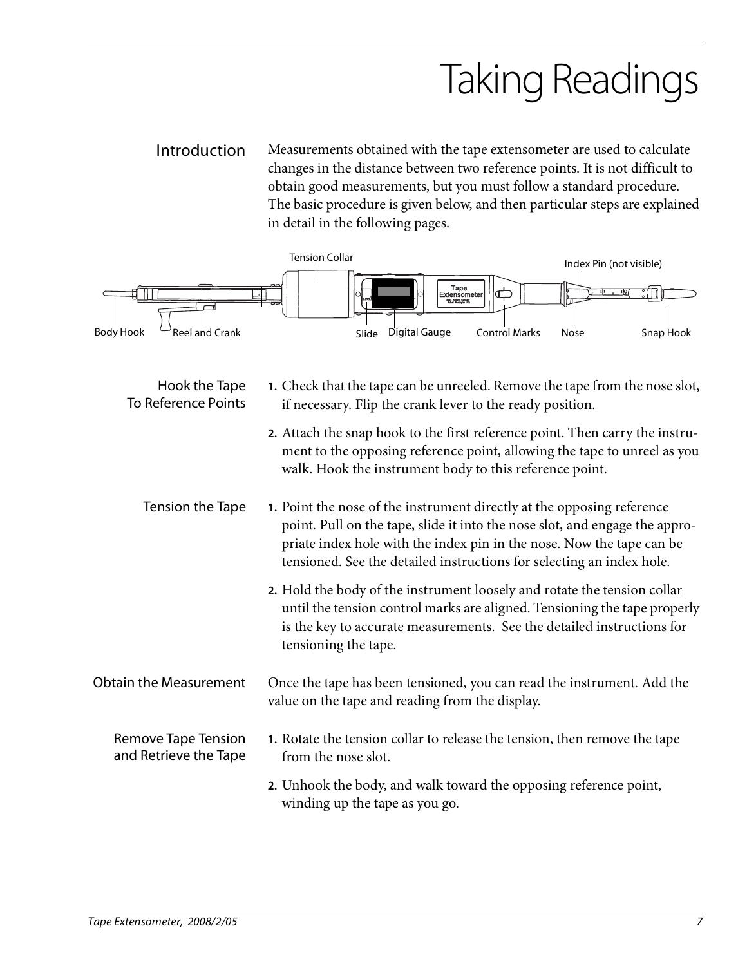# Taking Readings

Introduction Measurements obtained with the tape extensometer are used to calculate changes in the distance between two reference points. It is not difficult to obtain good measurements, but you must follow a standard procedure. The basic procedure is given below, and then particular steps are explained in detail in the following pages.

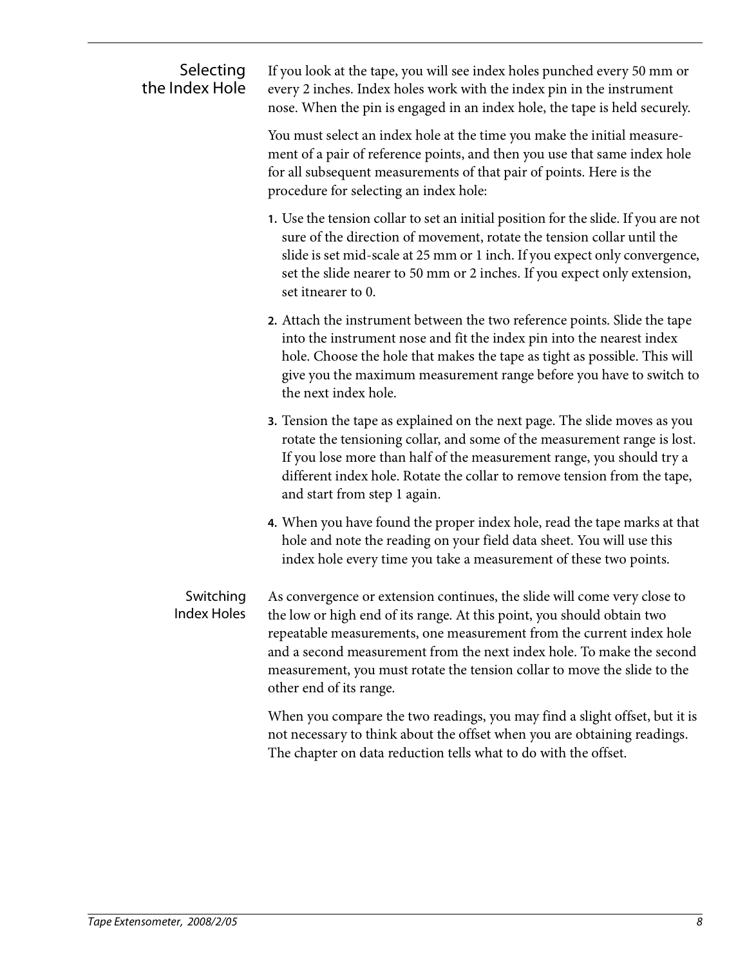| Selecting<br>the Index Hole     | If you look at the tape, you will see index holes punched every 50 mm or<br>every 2 inches. Index holes work with the index pin in the instrument<br>nose. When the pin is engaged in an index hole, the tape is held securely.                                                                                                                                                                            |
|---------------------------------|------------------------------------------------------------------------------------------------------------------------------------------------------------------------------------------------------------------------------------------------------------------------------------------------------------------------------------------------------------------------------------------------------------|
|                                 | You must select an index hole at the time you make the initial measure-<br>ment of a pair of reference points, and then you use that same index hole<br>for all subsequent measurements of that pair of points. Here is the<br>procedure for selecting an index hole:                                                                                                                                      |
|                                 | 1. Use the tension collar to set an initial position for the slide. If you are not<br>sure of the direction of movement, rotate the tension collar until the<br>slide is set mid-scale at 25 mm or 1 inch. If you expect only convergence,<br>set the slide nearer to 50 mm or 2 inches. If you expect only extension,<br>set itnearer to 0.                                                               |
|                                 | 2. Attach the instrument between the two reference points. Slide the tape<br>into the instrument nose and fit the index pin into the nearest index<br>hole. Choose the hole that makes the tape as tight as possible. This will<br>give you the maximum measurement range before you have to switch to<br>the next index hole.                                                                             |
|                                 | 3. Tension the tape as explained on the next page. The slide moves as you<br>rotate the tensioning collar, and some of the measurement range is lost.<br>If you lose more than half of the measurement range, you should try a<br>different index hole. Rotate the collar to remove tension from the tape,<br>and start from step 1 again.                                                                 |
|                                 | 4. When you have found the proper index hole, read the tape marks at that<br>hole and note the reading on your field data sheet. You will use this<br>index hole every time you take a measurement of these two points.                                                                                                                                                                                    |
| Switching<br><b>Index Holes</b> | As convergence or extension continues, the slide will come very close to<br>the low or high end of its range. At this point, you should obtain two<br>repeatable measurements, one measurement from the current index hole<br>and a second measurement from the next index hole. To make the second<br>measurement, you must rotate the tension collar to move the slide to the<br>other end of its range. |
|                                 | When you compare the two readings, you may find a slight offset, but it is<br>not necessary to think about the offset when you are obtaining readings.<br>The chapter on data reduction tells what to do with the offset.                                                                                                                                                                                  |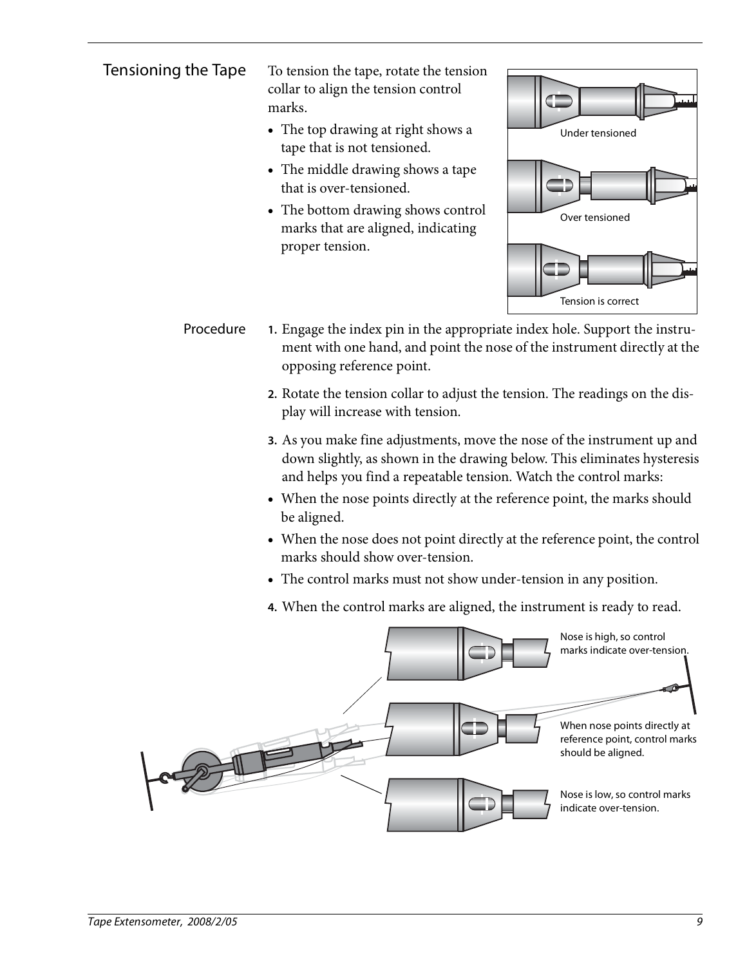Tensioning the Tape To tension the tape, rotate the tension collar to align the tension control marks.

- The top drawing at right shows a tape that is not tensioned.
- The middle drawing shows a tape that is over-tensioned.
- The bottom drawing shows control marks that are aligned, indicating proper tension.

![](_page_10_Figure_5.jpeg)

- Procedure **1.** Engage the index pin in the appropriate index hole. Support the instrument with one hand, and point the nose of the instrument directly at the opposing reference point.
	- **2.** Rotate the tension collar to adjust the tension. The readings on the display will increase with tension.
	- **3.** As you make fine adjustments, move the nose of the instrument up and down slightly, as shown in the drawing below. This eliminates hysteresis and helps you find a repeatable tension. Watch the control marks:
	- When the nose points directly at the reference point, the marks should be aligned.
	- When the nose does not point directly at the reference point, the control marks should show over-tension.
	- The control marks must not show under-tension in any position.
	- **4.** When the control marks are aligned, the instrument is ready to read.

![](_page_10_Picture_13.jpeg)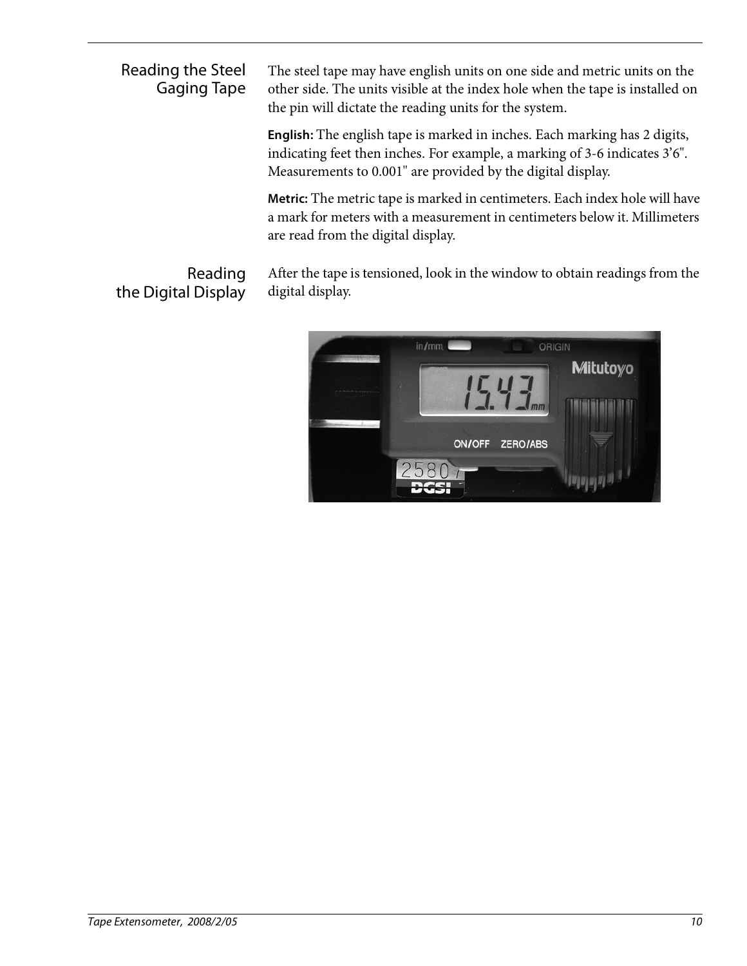Reading the Steel Gaging Tape

Reading

The steel tape may have english units on one side and metric units on the other side. The units visible at the index hole when the tape is installed on the pin will dictate the reading units for the system.

**English:** The english tape is marked in inches. Each marking has 2 digits, indicating feet then inches. For example, a marking of 3-6 indicates 3'6". Measurements to 0.001" are provided by the digital display.

**Metric:** The metric tape is marked in centimeters. Each index hole will have a mark for meters with a measurement in centimeters below it. Millimeters are read from the digital display.

After the tape is tensioned, look in the window to obtain readings from the digital display.

![](_page_11_Picture_5.jpeg)

the Digital Display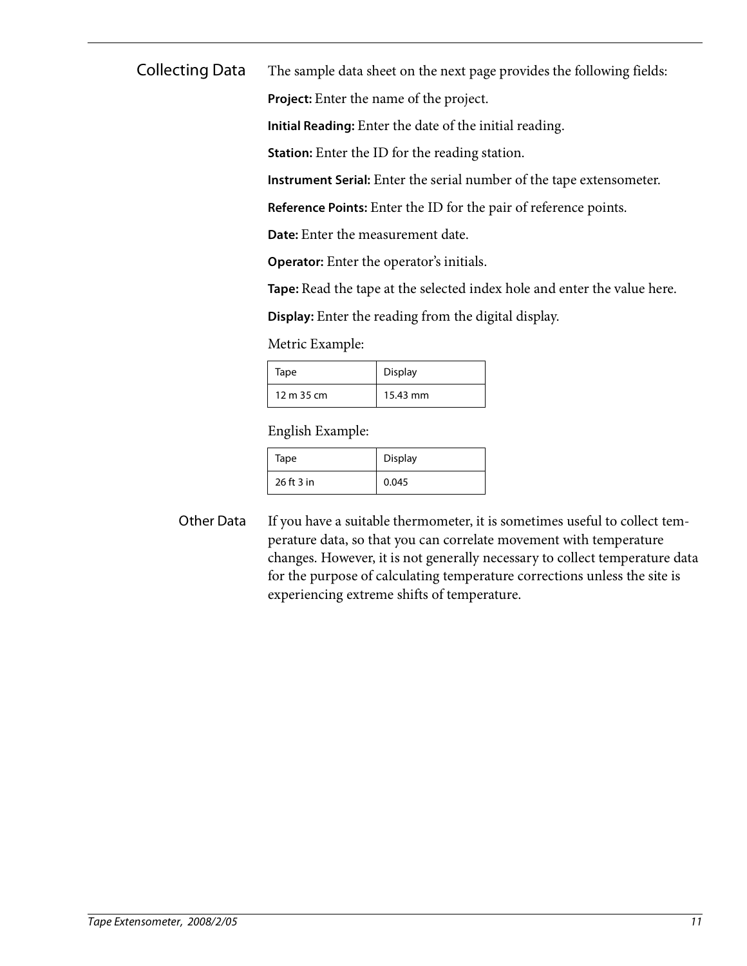Collecting Data The sample data sheet on the next page provides the following fields:

**Project:** Enter the name of the project.

**Initial Reading:** Enter the date of the initial reading.

**Station:** Enter the ID for the reading station.

**Instrument Serial:** Enter the serial number of the tape extensometer.

**Reference Points:** Enter the ID for the pair of reference points.

**Date:** Enter the measurement date.

**Operator:** Enter the operator's initials.

**Tape:** Read the tape at the selected index hole and enter the value here.

**Display:** Enter the reading from the digital display.

Metric Example:

| Tape       | <b>Display</b> |
|------------|----------------|
| 12 m 35 cm | 15.43 mm       |

English Example:

| Tape       | Display |
|------------|---------|
| 26 ft 3 in | 0.045   |

Other Data If you have a suitable thermometer, it is sometimes useful to collect temperature data, so that you can correlate movement with temperature changes. However, it is not generally necessary to collect temperature data for the purpose of calculating temperature corrections unless the site is experiencing extreme shifts of temperature.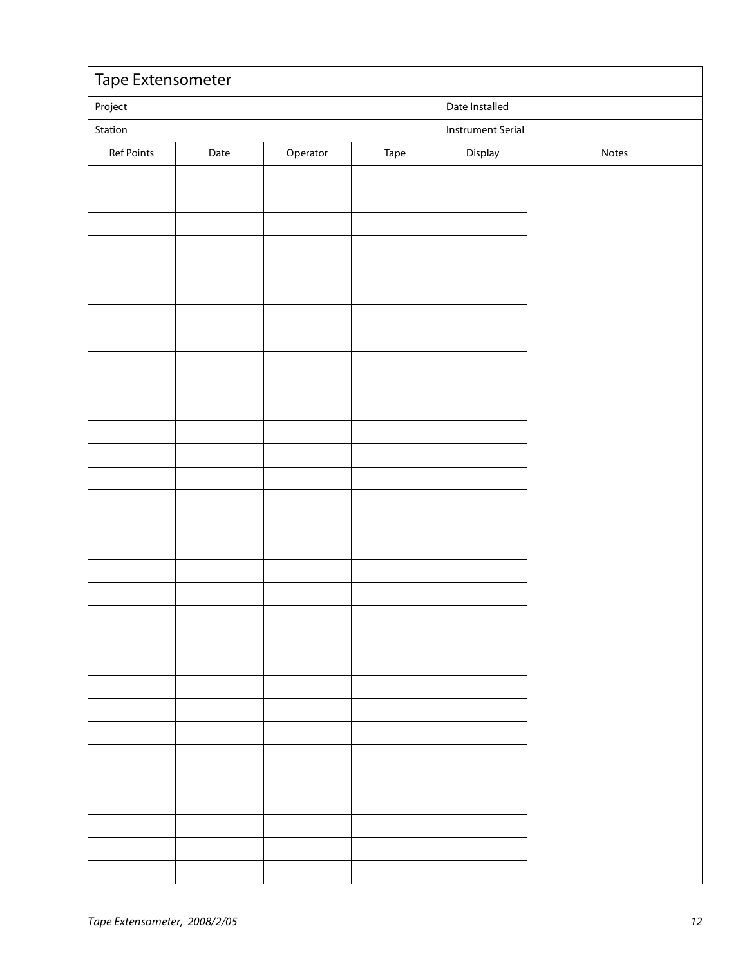| Date Installed<br>Project                                  |  |  |
|------------------------------------------------------------|--|--|
|                                                            |  |  |
| Station<br><b>Instrument Serial</b>                        |  |  |
| Ref Points<br>Operator<br>Display<br>Date<br>Tape<br>Notes |  |  |
|                                                            |  |  |
|                                                            |  |  |
|                                                            |  |  |
|                                                            |  |  |
|                                                            |  |  |
|                                                            |  |  |
|                                                            |  |  |
|                                                            |  |  |
|                                                            |  |  |
|                                                            |  |  |
|                                                            |  |  |
|                                                            |  |  |
|                                                            |  |  |
|                                                            |  |  |
|                                                            |  |  |
|                                                            |  |  |
|                                                            |  |  |
|                                                            |  |  |
|                                                            |  |  |
|                                                            |  |  |
|                                                            |  |  |
|                                                            |  |  |
|                                                            |  |  |
|                                                            |  |  |
|                                                            |  |  |
|                                                            |  |  |
|                                                            |  |  |
|                                                            |  |  |
|                                                            |  |  |
|                                                            |  |  |
|                                                            |  |  |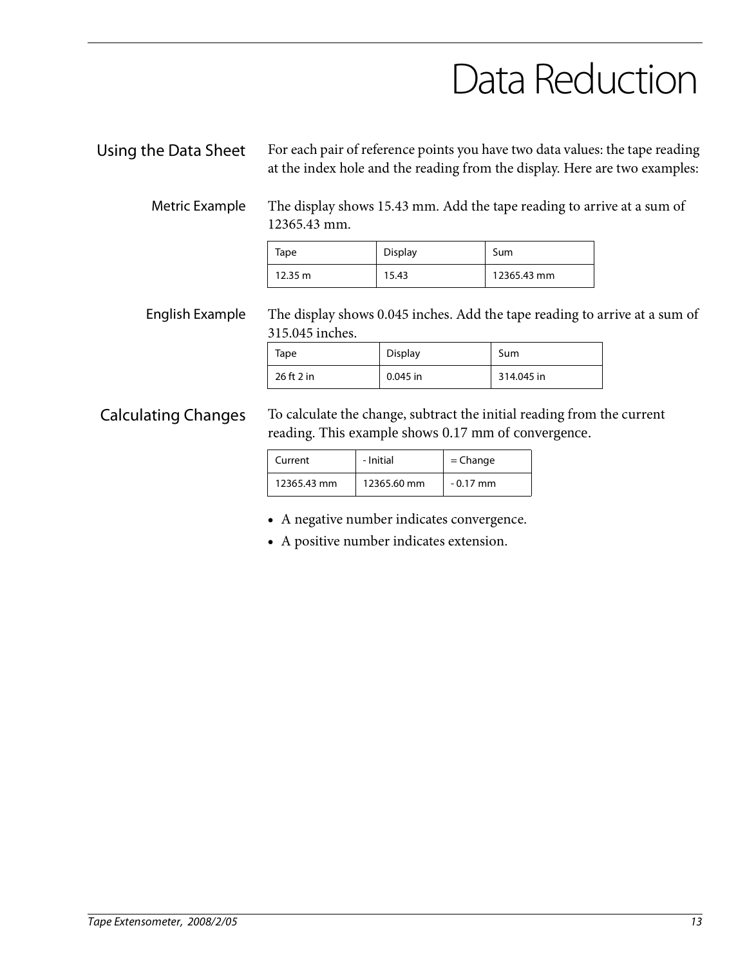### Data Reduction

Using the Data Sheet For each pair of reference points you have two data values: the tape reading at the index hole and the reading from the display. Here are two examples:

Metric Example The display shows 15.43 mm. Add the tape reading to arrive at a sum of 12365.43 mm.

| Tape              | <b>Display</b> | Sum         |
|-------------------|----------------|-------------|
| $12.35 \text{ m}$ | 15.43          | 12365.43 mm |

English Example The display shows 0.045 inches. Add the tape reading to arrive at a sum of 315.045 inches.

| Tape       | Display    | Sum        |
|------------|------------|------------|
| 26 ft 2 in | $0.045$ in | 314.045 in |

Calculating Changes To calculate the change, subtract the initial reading from the current reading. This example shows 0.17 mm of convergence.

| Current     | - Initial   | $=$ Change |
|-------------|-------------|------------|
| 12365.43 mm | 12365.60 mm | $-0.17$ mm |

- A negative number indicates convergence.
- A positive number indicates extension.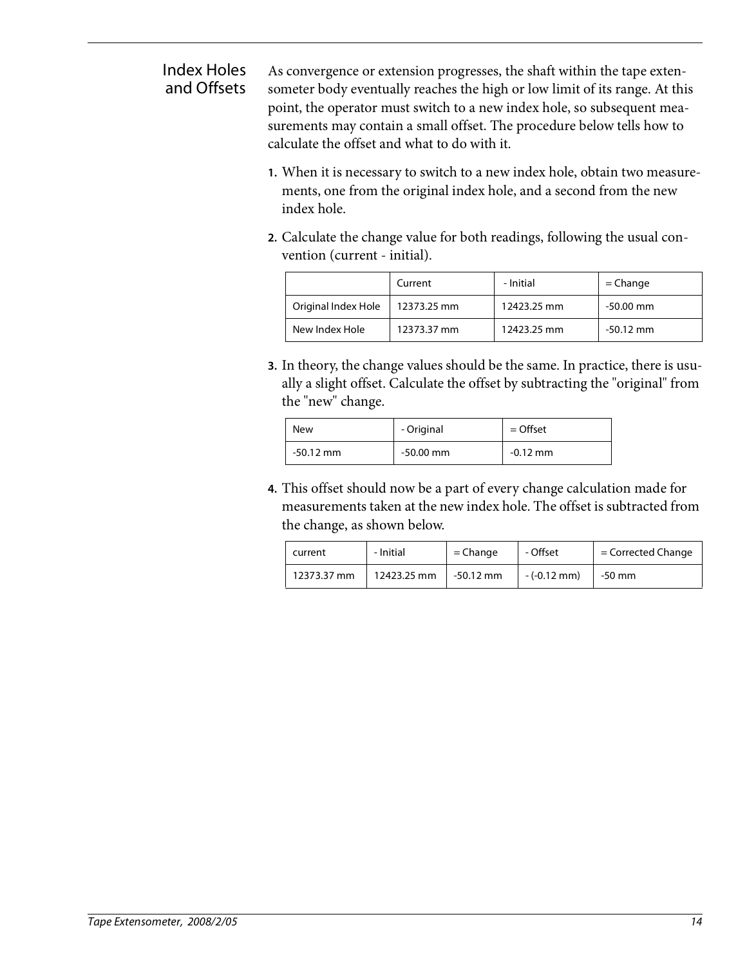#### Index Holes and Offsets

As convergence or extension progresses, the shaft within the tape extensometer body eventually reaches the high or low limit of its range. At this point, the operator must switch to a new index hole, so subsequent measurements may contain a small offset. The procedure below tells how to calculate the offset and what to do with it.

- **1.** When it is necessary to switch to a new index hole, obtain two measurements, one from the original index hole, and a second from the new index hole.
- **2.** Calculate the change value for both readings, following the usual convention (current - initial).

|                     | Current     | - Initial   | $=$ Change  |
|---------------------|-------------|-------------|-------------|
| Original Index Hole | 12373.25 mm | 12423.25 mm | -50.00 mm   |
| New Index Hole      | 12373.37 mm | 12423.25 mm | $-50.12$ mm |

**3.** In theory, the change values should be the same. In practice, there is usually a slight offset. Calculate the offset by subtracting the "original" from the "new" change.

| New         | - Original  | $=$ Offset |
|-------------|-------------|------------|
| $-50.12$ mm | $-50.00$ mm | $-0.12$ mm |

**4.** This offset should now be a part of every change calculation made for measurements taken at the new index hole. The offset is subtracted from the change, as shown below.

| current     | - Initial   | $=$ Change  | - Offset              | $=$ Corrected Change |
|-------------|-------------|-------------|-----------------------|----------------------|
| 12373.37 mm | 12423.25 mm | $-50.12$ mm | $-(-0.12 \text{ mm})$ | -50 mm               |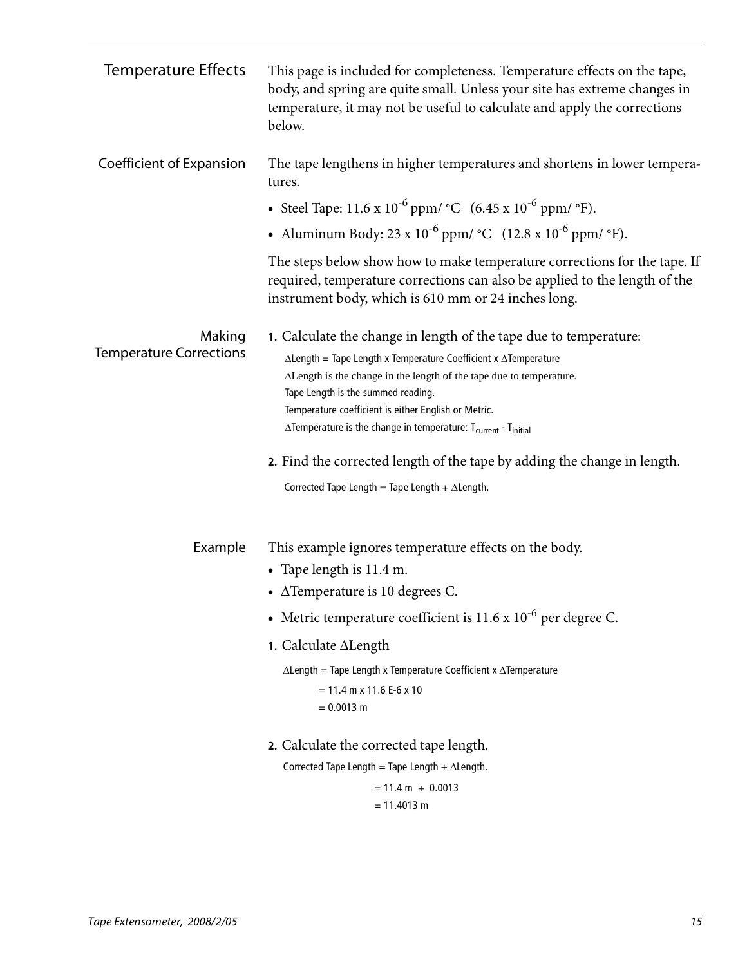| <b>Temperature Effects</b>               | This page is included for completeness. Temperature effects on the tape,<br>body, and spring are quite small. Unless your site has extreme changes in<br>temperature, it may not be useful to calculate and apply the corrections<br>below.                                                                                                                                                                                |
|------------------------------------------|----------------------------------------------------------------------------------------------------------------------------------------------------------------------------------------------------------------------------------------------------------------------------------------------------------------------------------------------------------------------------------------------------------------------------|
| Coefficient of Expansion                 | The tape lengthens in higher temperatures and shortens in lower tempera-<br>tures.                                                                                                                                                                                                                                                                                                                                         |
|                                          | • Steel Tape: $11.6 \times 10^{-6}$ ppm/ °C $(6.45 \times 10^{-6}$ ppm/ °F).                                                                                                                                                                                                                                                                                                                                               |
|                                          | • Aluminum Body: $23 \times 10^{-6}$ ppm/ °C $(12.8 \times 10^{-6}$ ppm/ °F).                                                                                                                                                                                                                                                                                                                                              |
|                                          | The steps below show how to make temperature corrections for the tape. If<br>required, temperature corrections can also be applied to the length of the<br>instrument body, which is 610 mm or 24 inches long.                                                                                                                                                                                                             |
| Making<br><b>Temperature Corrections</b> | 1. Calculate the change in length of the tape due to temperature:<br>$\Delta$ Length = Tape Length x Temperature Coefficient x $\Delta$ Temperature<br>ALength is the change in the length of the tape due to temperature.<br>Tape Length is the summed reading.<br>Temperature coefficient is either English or Metric.<br>$\Delta$ Temperature is the change in temperature: $T_{\text{current}}$ - $T_{\text{initial}}$ |
|                                          | 2. Find the corrected length of the tape by adding the change in length.<br>Corrected Tape Length = Tape Length + $\Delta$ Length.                                                                                                                                                                                                                                                                                         |
| Example                                  | This example ignores temperature effects on the body.<br>• Tape length is 11.4 m.<br>• $\triangle$ Temperature is 10 degrees C.                                                                                                                                                                                                                                                                                            |
|                                          | • Metric temperature coefficient is $11.6 \times 10^{-6}$ per degree C.                                                                                                                                                                                                                                                                                                                                                    |
|                                          | 1. Calculate ALength                                                                                                                                                                                                                                                                                                                                                                                                       |
|                                          | $\Delta$ Length = Tape Length x Temperature Coefficient x $\Delta$ Temperature<br>$= 11.4$ m x 11.6 E-6 x 10<br>$= 0.0013$ m                                                                                                                                                                                                                                                                                               |
|                                          | 2. Calculate the corrected tape length.<br>Corrected Tape Length = Tape Length + $\Delta$ Length.<br>$= 11.4 m + 0.0013$                                                                                                                                                                                                                                                                                                   |
|                                          | $= 11.4013$ m                                                                                                                                                                                                                                                                                                                                                                                                              |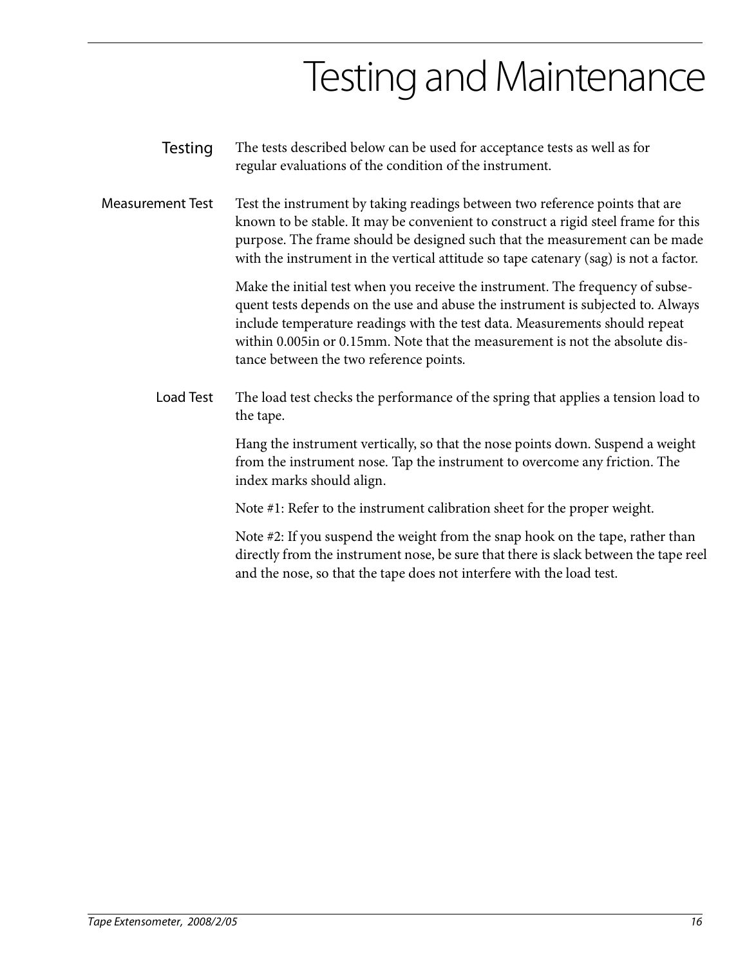## Testing and Maintenance

- Testing The tests described below can be used for acceptance tests as well as for regular evaluations of the condition of the instrument.
- Measurement Test Test the instrument by taking readings between two reference points that are known to be stable. It may be convenient to construct a rigid steel frame for this purpose. The frame should be designed such that the measurement can be made with the instrument in the vertical attitude so tape catenary (sag) is not a factor.

Make the initial test when you receive the instrument. The frequency of subsequent tests depends on the use and abuse the instrument is subjected to. Always include temperature readings with the test data. Measurements should repeat within 0.005in or 0.15mm. Note that the measurement is not the absolute distance between the two reference points.

Load Test The load test checks the performance of the spring that applies a tension load to the tape.

> Hang the instrument vertically, so that the nose points down. Suspend a weight from the instrument nose. Tap the instrument to overcome any friction. The index marks should align.

Note #1: Refer to the instrument calibration sheet for the proper weight.

Note #2: If you suspend the weight from the snap hook on the tape, rather than directly from the instrument nose, be sure that there is slack between the tape reel and the nose, so that the tape does not interfere with the load test.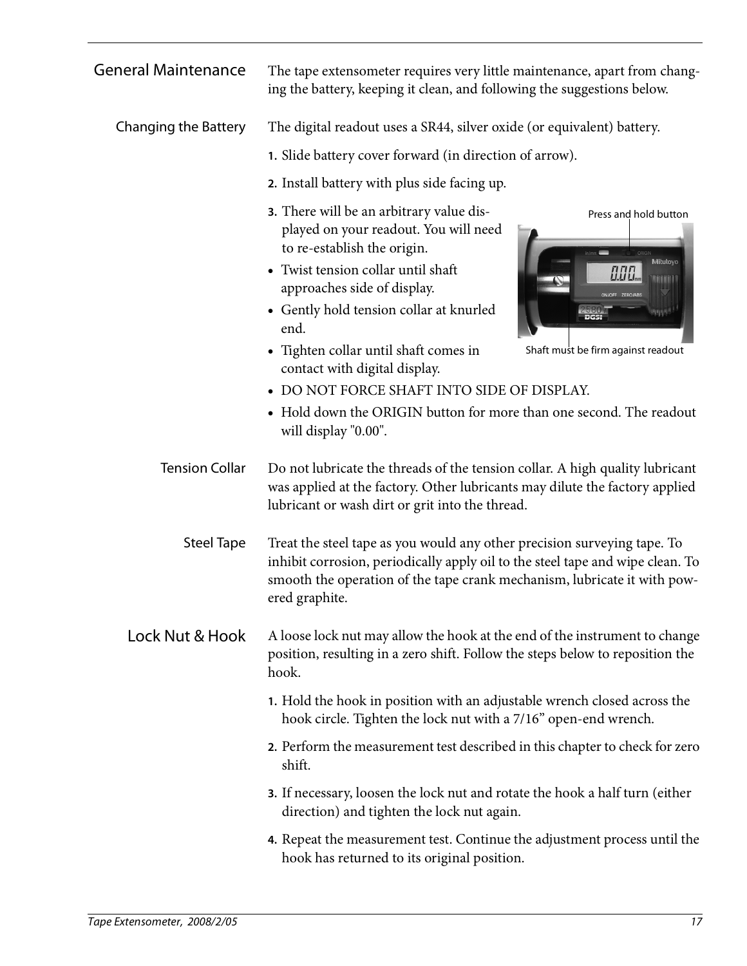| <b>General Maintenance</b>  | The tape extensometer requires very little maintenance, apart from chang-<br>ing the battery, keeping it clean, and following the suggestions below.                                                                                                                                                                                                             |                                                                         |  |
|-----------------------------|------------------------------------------------------------------------------------------------------------------------------------------------------------------------------------------------------------------------------------------------------------------------------------------------------------------------------------------------------------------|-------------------------------------------------------------------------|--|
| <b>Changing the Battery</b> | The digital readout uses a SR44, silver oxide (or equivalent) battery.                                                                                                                                                                                                                                                                                           |                                                                         |  |
|                             | 1. Slide battery cover forward (in direction of arrow).                                                                                                                                                                                                                                                                                                          |                                                                         |  |
|                             | 2. Install battery with plus side facing up.                                                                                                                                                                                                                                                                                                                     |                                                                         |  |
|                             | 3. There will be an arbitrary value dis-<br>played on your readout. You will need<br>to re-establish the origin.<br>• Twist tension collar until shaft<br>approaches side of display.<br>• Gently hold tension collar at knurled<br>end.<br>• Tighten collar until shaft comes in<br>contact with digital display.<br>• DO NOT FORCE SHAFT INTO SIDE OF DISPLAY. | Press and hold button<br>Mitutoyo<br>Shaft must be firm against readout |  |
|                             | • Hold down the ORIGIN button for more than one second. The readout<br>will display "0.00".                                                                                                                                                                                                                                                                      |                                                                         |  |
| <b>Tension Collar</b>       | Do not lubricate the threads of the tension collar. A high quality lubricant<br>was applied at the factory. Other lubricants may dilute the factory applied<br>lubricant or wash dirt or grit into the thread.                                                                                                                                                   |                                                                         |  |
| <b>Steel Tape</b>           | Treat the steel tape as you would any other precision surveying tape. To<br>inhibit corrosion, periodically apply oil to the steel tape and wipe clean. To<br>smooth the operation of the tape crank mechanism, lubricate it with pow-<br>ered graphite.                                                                                                         |                                                                         |  |
| Lock Nut & Hook             | A loose lock nut may allow the hook at the end of the instrument to change<br>position, resulting in a zero shift. Follow the steps below to reposition the<br>hook.                                                                                                                                                                                             |                                                                         |  |
|                             | 1. Hold the hook in position with an adjustable wrench closed across the<br>hook circle. Tighten the lock nut with a 7/16" open-end wrench.                                                                                                                                                                                                                      |                                                                         |  |
|                             | 2. Perform the measurement test described in this chapter to check for zero<br>shift.                                                                                                                                                                                                                                                                            |                                                                         |  |
|                             | <b>3.</b> If necessary, loosen the lock nut and rotate the hook a half turn (either<br>direction) and tighten the lock nut again.                                                                                                                                                                                                                                |                                                                         |  |
|                             | 4. Repeat the measurement test. Continue the adjustment process until the<br>hook has returned to its original position.                                                                                                                                                                                                                                         |                                                                         |  |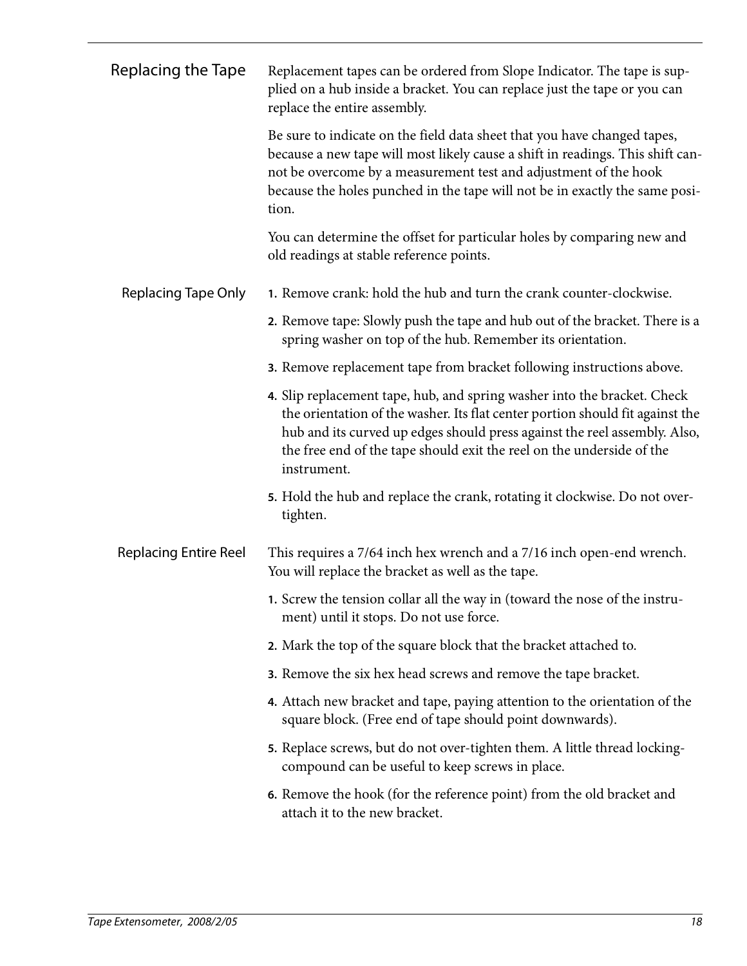| Replacing the Tape           | Replacement tapes can be ordered from Slope Indicator. The tape is sup-<br>plied on a hub inside a bracket. You can replace just the tape or you can<br>replace the entire assembly.                                                                                                                                           |
|------------------------------|--------------------------------------------------------------------------------------------------------------------------------------------------------------------------------------------------------------------------------------------------------------------------------------------------------------------------------|
|                              | Be sure to indicate on the field data sheet that you have changed tapes,<br>because a new tape will most likely cause a shift in readings. This shift can-<br>not be overcome by a measurement test and adjustment of the hook<br>because the holes punched in the tape will not be in exactly the same posi-<br>tion.         |
|                              | You can determine the offset for particular holes by comparing new and<br>old readings at stable reference points.                                                                                                                                                                                                             |
| <b>Replacing Tape Only</b>   | 1. Remove crank: hold the hub and turn the crank counter-clockwise.                                                                                                                                                                                                                                                            |
|                              | 2. Remove tape: Slowly push the tape and hub out of the bracket. There is a<br>spring washer on top of the hub. Remember its orientation.                                                                                                                                                                                      |
|                              | 3. Remove replacement tape from bracket following instructions above.                                                                                                                                                                                                                                                          |
|                              | 4. Slip replacement tape, hub, and spring washer into the bracket. Check<br>the orientation of the washer. Its flat center portion should fit against the<br>hub and its curved up edges should press against the reel assembly. Also,<br>the free end of the tape should exit the reel on the underside of the<br>instrument. |
|                              | 5. Hold the hub and replace the crank, rotating it clockwise. Do not over-<br>tighten.                                                                                                                                                                                                                                         |
| <b>Replacing Entire Reel</b> | This requires a 7/64 inch hex wrench and a 7/16 inch open-end wrench.<br>You will replace the bracket as well as the tape.                                                                                                                                                                                                     |
|                              | 1. Screw the tension collar all the way in (toward the nose of the instru-<br>ment) until it stops. Do not use force.                                                                                                                                                                                                          |
|                              | 2. Mark the top of the square block that the bracket attached to.                                                                                                                                                                                                                                                              |
|                              | 3. Remove the six hex head screws and remove the tape bracket.                                                                                                                                                                                                                                                                 |
|                              | 4. Attach new bracket and tape, paying attention to the orientation of the<br>square block. (Free end of tape should point downwards).                                                                                                                                                                                         |
|                              | 5. Replace screws, but do not over-tighten them. A little thread locking-<br>compound can be useful to keep screws in place.                                                                                                                                                                                                   |
|                              | 6. Remove the hook (for the reference point) from the old bracket and<br>attach it to the new bracket.                                                                                                                                                                                                                         |